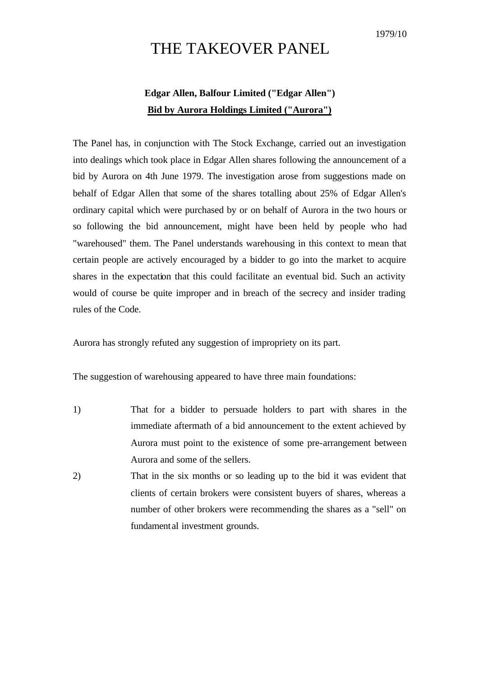## THE TAKEOVER PANEL

## **Edgar Allen, Balfour Limited ("Edgar Allen") Bid by Aurora Holdings Limited ("Aurora")**

The Panel has, in conjunction with The Stock Exchange, carried out an investigation into dealings which took place in Edgar Allen shares following the announcement of a bid by Aurora on 4th June 1979. The investigation arose from suggestions made on behalf of Edgar Allen that some of the shares totalling about 25% of Edgar Allen's ordinary capital which were purchased by or on behalf of Aurora in the two hours or so following the bid announcement, might have been held by people who had "warehoused" them. The Panel understands warehousing in this context to mean that certain people are actively encouraged by a bidder to go into the market to acquire shares in the expectation that this could facilitate an eventual bid. Such an activity would of course be quite improper and in breach of the secrecy and insider trading rules of the Code.

Aurora has strongly refuted any suggestion of impropriety on its part.

The suggestion of warehousing appeared to have three main foundations:

- 1) That for a bidder to persuade holders to part with shares in the immediate aftermath of a bid announcement to the extent achieved by Aurora must point to the existence of some pre-arrangement between Aurora and some of the sellers.
- 2) That in the six months or so leading up to the bid it was evident that clients of certain brokers were consistent buyers of shares, whereas a number of other brokers were recommending the shares as a "sell" on fundament al investment grounds.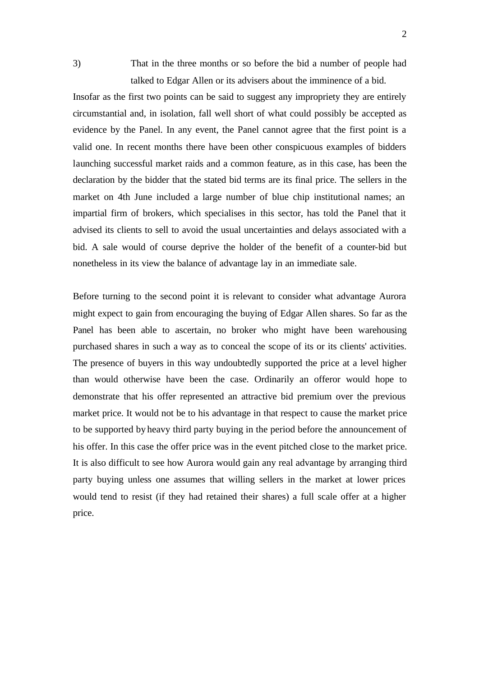3) That in the three months or so before the bid a number of people had talked to Edgar Allen or its advisers about the imminence of a bid.

Insofar as the first two points can be said to suggest any impropriety they are entirely circumstantial and, in isolation, fall well short of what could possibly be accepted as evidence by the Panel. In any event, the Panel cannot agree that the first point is a valid one. In recent months there have been other conspicuous examples of bidders launching successful market raids and a common feature, as in this case, has been the declaration by the bidder that the stated bid terms are its final price. The sellers in the market on 4th June included a large number of blue chip institutional names; an impartial firm of brokers, which specialises in this sector, has told the Panel that it advised its clients to sell to avoid the usual uncertainties and delays associated with a bid. A sale would of course deprive the holder of the benefit of a counter-bid but nonetheless in its view the balance of advantage lay in an immediate sale.

Before turning to the second point it is relevant to consider what advantage Aurora might expect to gain from encouraging the buying of Edgar Allen shares. So far as the Panel has been able to ascertain, no broker who might have been warehousing purchased shares in such a way as to conceal the scope of its or its clients' activities. The presence of buyers in this way undoubtedly supported the price at a level higher than would otherwise have been the case. Ordinarily an offeror would hope to demonstrate that his offer represented an attractive bid premium over the previous market price. It would not be to his advantage in that respect to cause the market price to be supported by heavy third party buying in the period before the announcement of his offer. In this case the offer price was in the event pitched close to the market price. It is also difficult to see how Aurora would gain any real advantage by arranging third party buying unless one assumes that willing sellers in the market at lower prices would tend to resist (if they had retained their shares) a full scale offer at a higher price.